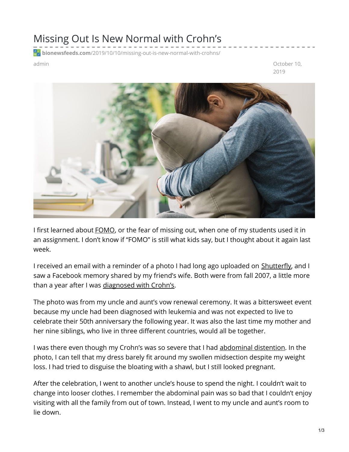## Missing Out Is New Normal with Crohn's

**bionewsfeeds.com**[/2019/10/10/missing-out-is-new-normal-with-crohns/](https://bionewsfeeds.com/2019/10/10/missing-out-is-new-normal-with-crohns/)

admin October 10, 2019



I first learned about [FOMO](https://www.lexico.com/en/definition/fomo), or the fear of missing out, when one of my students used it in an assignment. I don't know if "FOMO" is still what kids say, but I thought about it again last week.

I received an email with a reminder of a photo I had long ago uploaded on **[Shutterfly](https://www.shutterfly.com/)**, and I saw a Facebook memory shared by my friend's wife. Both were from fall 2007, a little more than a year after I was [diagnosed](https://ibdnewstoday.com/2019/03/28/intestinal-fortitude-survivors-guide-ibd/) with Crohn's.

The photo was from my uncle and aunt's vow renewal ceremony. It was a bittersweet event because my uncle had been diagnosed with leukemia and was not expected to live to celebrate their 50th anniversary the following year. It was also the last time my mother and her nine siblings, who live in three different countries, would all be together.

I was there even though my Crohn's was so severe that I had [abdominal](https://www.ncbi.nlm.nih.gov/pmc/articles/PMC3388350/) distention. In the photo, I can tell that my dress barely fit around my swollen midsection despite my weight loss. I had tried to disguise the bloating with a shawl, but I still looked pregnant.

After the celebration, I went to another uncle's house to spend the night. I couldn't wait to change into looser clothes. I remember the abdominal pain was so bad that I couldn't enjoy visiting with all the family from out of town. Instead, I went to my uncle and aunt's room to lie down.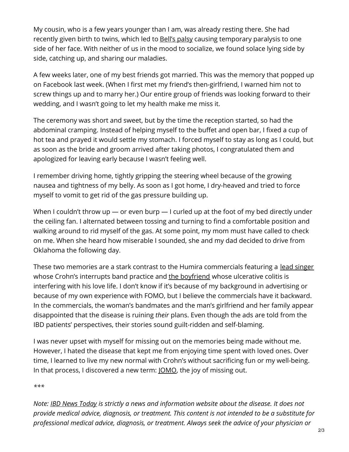My cousin, who is a few years younger than I am, was already resting there. She had recently given birth to twins, which led to Bell's [palsy](https://www.mayoclinic.org/diseases-conditions/bells-palsy/symptoms-causes/syc-20370028) causing temporary paralysis to one side of her face. With neither of us in the mood to socialize, we found solace lying side by side, catching up, and sharing our maladies.

A few weeks later, one of my best friends got married. This was the memory that popped up on Facebook last week. (When I first met my friend's then-girlfriend, I warned him not to screw things up and to marry her.) Our entire group of friends was looking forward to their wedding, and I wasn't going to let my health make me miss it.

The ceremony was short and sweet, but by the time the reception started, so had the abdominal cramping. Instead of helping myself to the buffet and open bar, I fixed a cup of hot tea and prayed it would settle my stomach. I forced myself to stay as long as I could, but as soon as the bride and groom arrived after taking photos, I congratulated them and apologized for leaving early because I wasn't feeling well.

I remember driving home, tightly gripping the steering wheel because of the growing nausea and tightness of my belly. As soon as I got home, I dry-heaved and tried to force myself to vomit to get rid of the gas pressure building up.

When I couldn't throw up — or even burp — I curled up at the foot of my bed directly under the ceiling fan. I alternated between tossing and turning to find a comfortable position and walking around to rid myself of the gas. At some point, my mom must have called to check on me. When she heard how miserable I sounded, she and my dad decided to drive from Oklahoma the following day.

These two memories are a stark contrast to the Humira commercials featuring a lead [singer](https://www.ispot.tv/ad/d2B5/humira-crohns-colitis-not-always-where-i-needed-to-be) whose Crohn's interrupts band practice and the [boyfriend](https://www.ispot.tv/ad/dtvM/humira-keep-us-apart) whose ulcerative colitis is interfering with his love life. I don't know if it's because of my background in advertising or because of my own experience with FOMO, but I believe the commercials have it backward. In the commercials, the woman's bandmates and the man's girlfriend and her family appear disappointed that the disease is ruining *their* plans. Even though the ads are told from the IBD patients' perspectives, their stories sound guilt-ridden and self-blaming.

I was never upset with myself for missing out on the memories being made without me. However, I hated the disease that kept me from enjoying time spent with loved ones. Over time, I learned to live my new normal with Crohn's without sacrificing fun or my well-being. In that process, I discovered a new term: [JOMO](https://oxfordlearnersdictionariesblog.com/2019/09/01/jomo/), the joy of missing out.

*\*\*\**

*Note: IBD News [Today](https://ibdnewstoday.com/) is strictly a news and information website about the disease. It does not provide medical advice, diagnosis, or treatment. This content is not intended to be a substitute for professional medical advice, diagnosis, or treatment. Always seek the advice of your physician or*